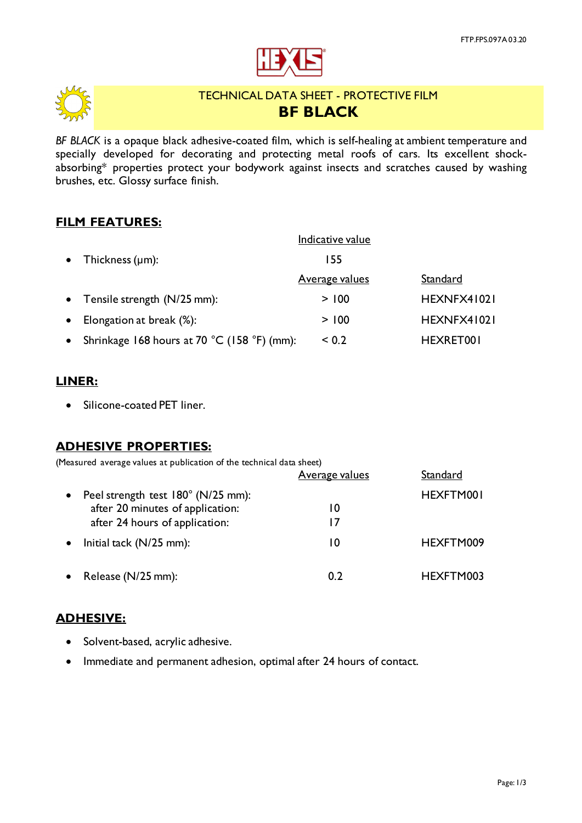



# TECHNICAL DATA SHEET - PROTECTIVE FILM **BF BLACK**

*BF BLACK* is a opaque black adhesive-coated film, which is self-healing at ambient temperature and specially developed for decorating and protecting metal roofs of cars. Its excellent shockabsorbing\* properties protect your bodywork against insects and scratches caused by washing brushes, etc. Glossy surface finish.

## **FILM FEATURES:**

|           |                                             | Indicative value      |             |
|-----------|---------------------------------------------|-----------------------|-------------|
|           | • Thickness $(\mu m)$ :                     | 155                   |             |
|           |                                             | <u>Average values</u> | Standard    |
|           | • Tensile strength $(N/25$ mm):             | > 100                 | HEXNFX41021 |
| $\bullet$ | Elongation at break (%):                    | > 100                 | HEXNFX41021 |
| $\bullet$ | Shrinkage 168 hours at 70 °C (158 °F) (mm): | ${}_{0.2}$            | HEXRET001   |

#### **LINER:**

• Silicone-coated PET liner.

## **ADHESIVE PROPERTIES:**

(Measured average values at publication of the technical data sheet)

|           |                                    | <b>Average values</b> | Standard  |
|-----------|------------------------------------|-----------------------|-----------|
| $\bullet$ | Peel strength test 180° (N/25 mm): |                       | HEXFTM001 |
|           | after 20 minutes of application:   | 10                    |           |
|           | after 24 hours of application:     | 17                    |           |
| $\bullet$ | Initial tack $(N/25$ mm):          | 10                    | HEXFTM009 |
|           | • Release $(N/25$ mm):             | 0.2                   | HEXFTM003 |

## **ADHESIVE:**

- Solvent-based, acrylic adhesive.
- Immediate and permanent adhesion, optimal after 24 hours of contact.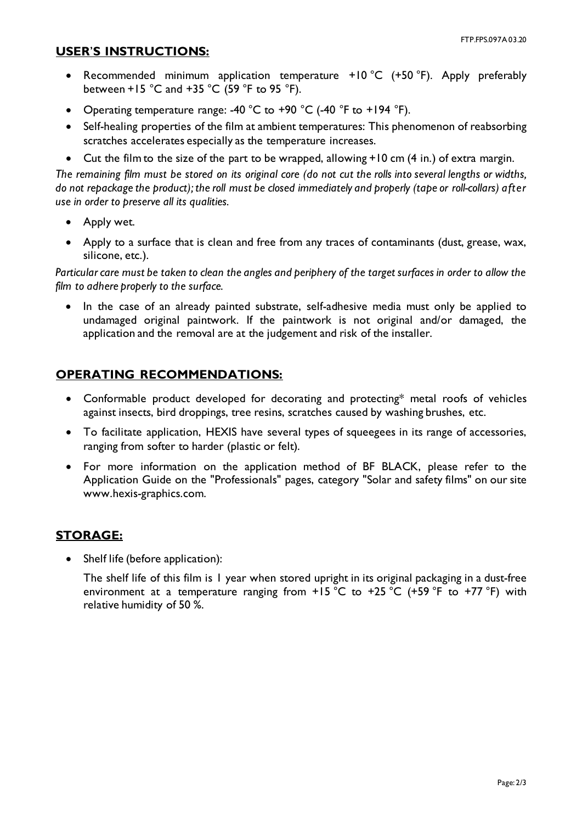#### **USER**'**S INSTRUCTIONS:**

- Recommended minimum application temperature +10 °C (+50 °F). Apply preferably between +15  $^{\circ}$ C and +35  $^{\circ}$ C (59  $^{\circ}$ F to 95  $^{\circ}$ F).
- Operating temperature range: -40  $^{\circ}$ C to +90  $^{\circ}$ C (-40  $^{\circ}$ F to +194  $^{\circ}$ F).
- Self-healing properties of the film at ambient temperatures: This phenomenon of reabsorbing scratches accelerates especially as the temperature increases.
- Cut the film to the size of the part to be wrapped, allowing +10 cm (4 in.) of extra margin.

*The remaining film must be stored on its original core (do not cut the rolls into several lengths or widths, do not repackage the product); the roll must be closed immediately and properly (tape or roll-collars) after use in order to preserve all its qualities.*

- Apply wet.
- Apply to a surface that is clean and free from any traces of contaminants (dust, grease, wax, silicone, etc.).

*Particular care must be taken to clean the angles and periphery of the target surfaces in order to allow the film to adhere properly to the surface.*

• In the case of an already painted substrate, self-adhesive media must only be applied to undamaged original paintwork. If the paintwork is not original and/or damaged, the application and the removal are at the judgement and risk of the installer.

## **OPERATING RECOMMENDATIONS:**

- Conformable product developed for decorating and protecting\* metal roofs of vehicles against insects, bird droppings, tree resins, scratches caused by washing brushes, etc.
- To facilitate application, HEXIS have several types of squeegees in its range of accessories, ranging from softer to harder (plastic or felt).
- For more information on the application method of BF BLACK, please refer to the Application Guide on the "Professionals" pages, category "Solar and safety films" on our site www.hexis-graphics.com.

## **STORAGE:**

Shelf life (before application):

The shelf life of this film is 1 year when stored upright in its original packaging in a dust-free environment at a temperature ranging from  $+15\degree C$  to  $+25\degree C$  (+59  $\degree F$  to  $+77\degree F$ ) with relative humidity of 50 %.